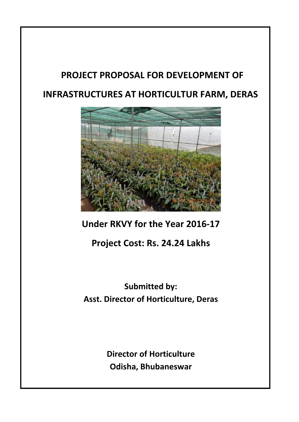# **PROJECT PROPOSAL FOR DEVELOPMENT OF INFRASTRUCTURES AT HORTICULTUR FARM, DERAS**



### **Under RKVY for the Year 2016‐17**

### **Project Cost: Rs. 24.24 Lakhs**

## **Submitted by: Asst. Director of Horticulture, Deras**

**Director of Horticulture Odisha, Bhubaneswar**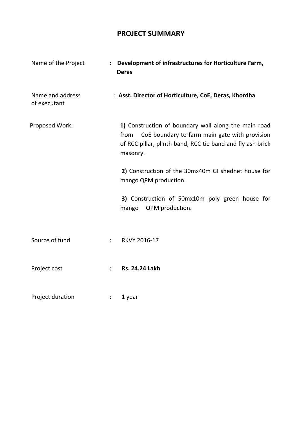### **PROJECT SUMMARY**

| Name of the Project              | Development of infrastructures for Horticulture Farm,<br><b>Deras</b>                                                                                                                |
|----------------------------------|--------------------------------------------------------------------------------------------------------------------------------------------------------------------------------------|
| Name and address<br>of executant | : Asst. Director of Horticulture, CoE, Deras, Khordha                                                                                                                                |
| Proposed Work:                   | 1) Construction of boundary wall along the main road<br>from CoE boundary to farm main gate with provision<br>of RCC pillar, plinth band, RCC tie band and fly ash brick<br>masonry. |
|                                  | 2) Construction of the 30mx40m GI shednet house for<br>mango QPM production.                                                                                                         |
|                                  | 3) Construction of 50mx10m poly green house for<br>QPM production.<br>mango                                                                                                          |
| Source of fund                   | RKVY 2016-17<br>$\ddot{\cdot}$                                                                                                                                                       |
| Project cost                     | <b>Rs. 24.24 Lakh</b><br>$\ddot{\phantom{a}}$                                                                                                                                        |
| Project duration                 | 1 year<br>$\ddot{\phantom{a}}$                                                                                                                                                       |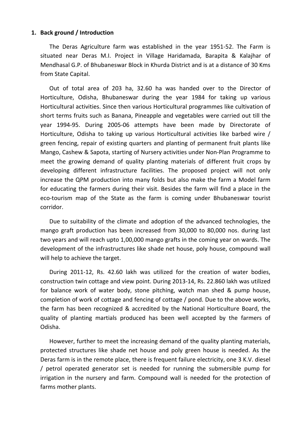#### **1. Back ground / Introduction**

The Deras Agriculture farm was established in the year 1951‐52. The Farm is situated near Deras M.I. Project in Village Haridamada, Barapita & Kalajhar of Mendhasal G.P. of Bhubaneswar Block in Khurda District and is at a distance of 30 Kms from State Capital.

Out of total area of 203 ha, 32.60 ha was handed over to the Director of Horticulture, Odisha, Bhubaneswar during the year 1984 for taking up various Horticultural activities. Since then various Horticultural programmes like cultivation of short terms fruits such as Banana, Pineapple and vegetables were carried out till the year 1994‐95. During 2005‐06 attempts have been made by Directorate of Horticulture, Odisha to taking up various Horticultural activities like barbed wire / green fencing, repair of existing quarters and planting of permanent fruit plants like Mango, Cashew & Sapota, starting of Nursery activities under Non‐Plan Programme to meet the growing demand of quality planting materials of different fruit crops by developing different infrastructure facilities. The proposed project will not only increase the QPM production into many folds but also make the farm a Model farm for educating the farmers during their visit. Besides the farm will find a place in the eco-tourism map of the State as the farm is coming under Bhubaneswar tourist corridor.

Due to suitability of the climate and adoption of the advanced technologies, the mango graft production has been increased from 30,000 to 80,000 nos. during last two years and will reach upto 1,00,000 mango grafts in the coming year on wards. The development of the infrastructures like shade net house, poly house, compound wall will help to achieve the target.

During 2011-12, Rs. 42.60 lakh was utilized for the creation of water bodies, construction twin cottage and view point. During 2013‐14, Rs. 22.860 lakh was utilized for balance work of water body, stone pitching, watch man shed & pump house, completion of work of cottage and fencing of cottage / pond. Due to the above works, the farm has been recognized & accredited by the National Horticulture Board, the quality of planting martials produced has been well accepted by the farmers of Odisha.

However, further to meet the increasing demand of the quality planting materials, protected structures like shade net house and poly green house is needed. As the Deras farm is in the remote place, there is frequent failure electricity, one 3 K.V. diesel / petrol operated generator set is needed for running the submersible pump for irrigation in the nursery and farm. Compound wall is needed for the protection of farms mother plants.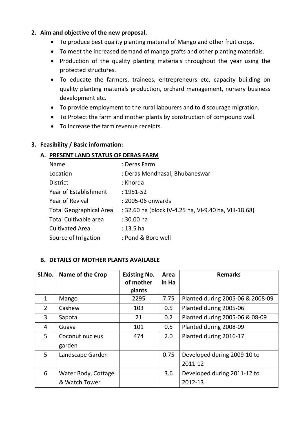#### **2. Aim and objective of the new proposal.**

- To produce best quality planting material of Mango and other fruit crops.
- To meet the increased demand of mango grafts and other planting materials.
- Production of the quality planting materials throughout the year using the protected structures.
- To educate the farmers, trainees, entrepreneurs etc, capacity building on quality planting materials production, orchard management, nursery business development etc.
- To provide employment to the rural labourers and to discourage migration.
- To Protect the farm and mother plants by construction of compound wall.
- To increase the farm revenue receipts.

#### **3. Feasibility / Basic information:**

#### **A. PRESENT LAND STATUS OF DERAS FARM**

| Name                           | : Deras Farm                                          |
|--------------------------------|-------------------------------------------------------|
| Location                       | : Deras Mendhasal, Bhubaneswar                        |
| <b>District</b>                | : Khorda                                              |
| Year of Establishment          | $: 1951 - 52$                                         |
| <b>Year of Revival</b>         | : 2005-06 onwards                                     |
| <b>Total Geographical Area</b> | : 32.60 ha (block IV-4.25 ha, VI-9.40 ha, VIII-18.68) |
| Total Cultivable area          | : 30.00 ha                                            |
| <b>Cultivated Area</b>         | $: 13.5$ ha                                           |
| Source of Irrigation           | : Pond & Bore well                                    |

#### **B. DETAILS OF MOTHER PLANTS AVAILABLE**

| SI.No.         | <b>Name of the Crop</b>   | <b>Existing No.</b><br>of mother<br>plants | Area<br>in Ha | <b>Remarks</b>                   |
|----------------|---------------------------|--------------------------------------------|---------------|----------------------------------|
| $\mathbf{1}$   | Mango                     | 2295                                       | 7.75          | Planted during 2005-06 & 2008-09 |
| $\overline{2}$ | Cashew                    | 103                                        | 0.5           | Planted during 2005-06           |
| 3              | Sapota                    | 21                                         | 0.2           | Planted during 2005-06 & 08-09   |
| 4              | Guava                     | 101                                        | 0.5           | Planted during 2008-09           |
| 5              | Coconut nucleus<br>garden | 474                                        | 2.0           | Planted during 2016-17           |
| 5              | Landscape Garden          |                                            | 0.75          | Developed during 2009-10 to      |
|                |                           |                                            |               | 2011-12                          |
| 6              | Water Body, Cottage       |                                            | 3.6           | Developed during 2011-12 to      |
|                | & Watch Tower             |                                            |               | 2012-13                          |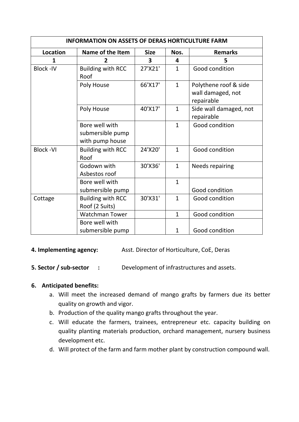| <b>INFORMATION ON ASSETS OF DERAS HORTICULTURE FARM</b> |                                                       |             |                         |                                                          |  |
|---------------------------------------------------------|-------------------------------------------------------|-------------|-------------------------|----------------------------------------------------------|--|
| <b>Location</b>                                         | Name of the Item                                      | <b>Size</b> | Nos.                    | <b>Remarks</b>                                           |  |
| 1                                                       | 2                                                     | 3           | $\overline{\mathbf{4}}$ | 5                                                        |  |
| <b>Block-IV</b>                                         | <b>Building with RCC</b><br>Roof                      | 27'X21'     | $\mathbf{1}$            | Good condition                                           |  |
|                                                         | Poly House                                            | 66'X17'     | $\mathbf{1}$            | Polythene roof & side<br>wall damaged, not<br>repairable |  |
|                                                         | Poly House                                            | 40'X17'     | $\mathbf{1}$            | Side wall damaged, not<br>repairable                     |  |
|                                                         | Bore well with<br>submersible pump<br>with pump house |             | $\mathbf{1}$            | Good condition                                           |  |
| <b>Block-VI</b>                                         | <b>Building with RCC</b><br>Roof                      | 24'X20'     | $\mathbf{1}$            | Good condition                                           |  |
|                                                         | Godown with<br>Asbestos roof                          | 30'X36'     | $\mathbf{1}$            | Needs repairing                                          |  |
|                                                         | Bore well with<br>submersible pump                    |             | $\mathbf{1}$            | Good condition                                           |  |
| Cottage                                                 | <b>Building with RCC</b><br>Roof (2 Suits)            | 30'X31'     | $\mathbf{1}$            | Good condition                                           |  |
|                                                         | <b>Watchman Tower</b>                                 |             | $\mathbf{1}$            | Good condition                                           |  |
|                                                         | Bore well with<br>submersible pump                    |             | $\mathbf{1}$            | Good condition                                           |  |

**4. Implementing agency:** Asst. Director of Horticulture, CoE, Deras

**5. Sector / sub‐sector :** Development of infrastructures and assets.

#### **6. Anticipated benefits:**

- a. Will meet the increased demand of mango grafts by farmers due its better quality on growth and vigor.
- b. Production of the quality mango grafts throughout the year.
- c. Will educate the farmers, trainees, entrepreneur etc. capacity building on quality planting materials production, orchard management, nursery business development etc.
- d. Will protect of the farm and farm mother plant by construction compound wall.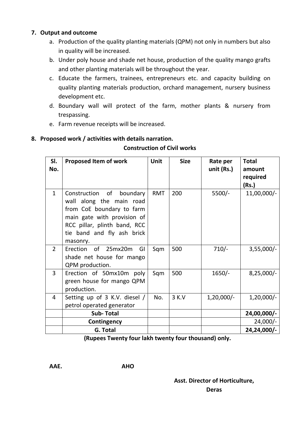#### **7. Output and outcome**

- a. Production of the quality planting materials (QPM) not only in numbers but also in quality will be increased.
- b. Under poly house and shade net house, production of the quality mango grafts and other planting materials will be throughout the year.
- c. Educate the farmers, trainees, entrepreneurs etc. and capacity building on quality planting materials production, orchard management, nursery business development etc.
- d. Boundary wall will protect of the farm, mother plants & nursery from trespassing.
- e. Farm revenue receipts will be increased.

#### **8. Proposed work / activities with details narration.**

#### **Construction of Civil works**

| SI.<br>No.     | <b>Proposed Item of work</b>                                                                                                                                                                  | Unit       | <b>Size</b> | Rate per<br>unit (Rs.) | <b>Total</b><br>amount<br>required<br>(Rs.) |
|----------------|-----------------------------------------------------------------------------------------------------------------------------------------------------------------------------------------------|------------|-------------|------------------------|---------------------------------------------|
| $\mathbf{1}$   | Construction of<br>boundary<br>wall along the main road<br>from CoE boundary to farm<br>main gate with provision of<br>RCC pillar, plinth band, RCC<br>tie band and fly ash brick<br>masonry. | <b>RMT</b> | 200         | $5500/-$               | $11,00,000/-$                               |
| $\overline{2}$ | of 25mx20m<br>Erection<br>GI<br>shade net house for mango<br>QPM production.                                                                                                                  | Sqm        | 500         | $710/-$                | $3,55,000/-$                                |
| 3              | Erection of 50mx10m poly<br>green house for mango QPM<br>production.                                                                                                                          | Sqm        | 500         | $1650/-$               | $8,25,000/-$                                |
| 4              | Setting up of 3 K.V. diesel /<br>petrol operated generator                                                                                                                                    | No.        | 3 K.V       | $1,20,000/-$           | $1,20,000/-$                                |
|                | <b>Sub-Total</b>                                                                                                                                                                              |            |             |                        | 24,00,000/-                                 |
|                | Contingency                                                                                                                                                                                   |            |             |                        | $24,000/-$                                  |
|                | G. Total                                                                                                                                                                                      |            |             |                        | 24,24,000/-                                 |

 **(Rupees Twenty four lakh twenty four thousand) only.**

#### **Asst. Director of Horticulture,**